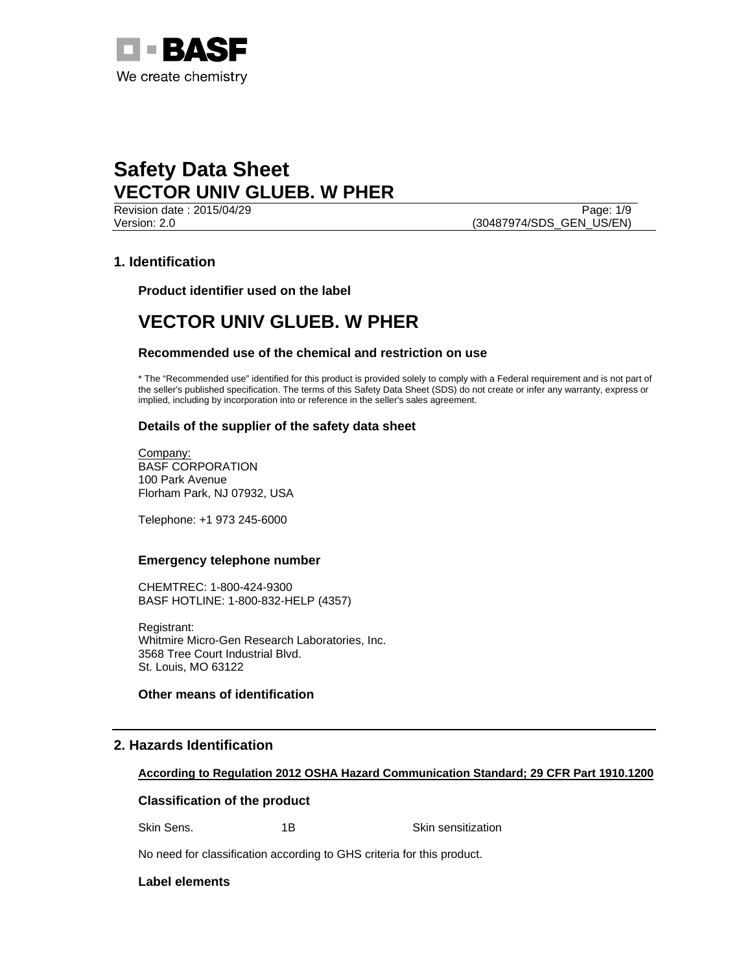

Version: 2.0 (30487974/SDS\_GEN\_US/EN)

Revision date : 2015/04/29 Page: 1/9

## **1. Identification**

**Product identifier used on the label** 

## **VECTOR UNIV GLUEB. W PHER**

### **Recommended use of the chemical and restriction on use**

\* The "Recommended use" identified for this product is provided solely to comply with a Federal requirement and is not part of the seller's published specification. The terms of this Safety Data Sheet (SDS) do not create or infer any warranty, express or implied, including by incorporation into or reference in the seller's sales agreement.

### **Details of the supplier of the safety data sheet**

Company: BASF CORPORATION 100 Park Avenue Florham Park, NJ 07932, USA

Telephone: +1 973 245-6000

#### **Emergency telephone number**

CHEMTREC: 1-800-424-9300 BASF HOTLINE: 1-800-832-HELP (4357)

Registrant: Whitmire Micro-Gen Research Laboratories, Inc. 3568 Tree Court Industrial Blvd. St. Louis, MO 63122

### **Other means of identification**

## **2. Hazards Identification**

#### **According to Regulation 2012 OSHA Hazard Communication Standard; 29 CFR Part 1910.1200**

#### **Classification of the product**

Skin Sens. 1B 18 Skin sensitization

No need for classification according to GHS criteria for this product.

### **Label elements**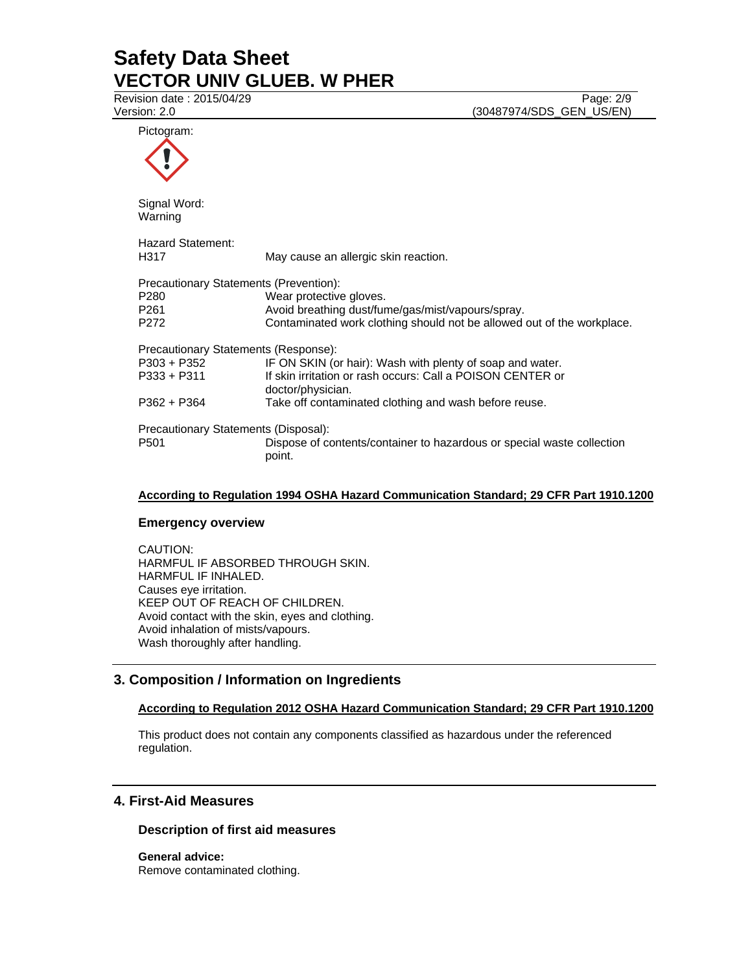Revision date : 2015/04/29 Page: 2/9

Version: 2.0 (30487974/SDS\_GEN\_US/EN)

Pictogram: Signal Word: Warning Hazard Statement: H317 May cause an allergic skin reaction. Precautionary Statements (Prevention): P280 Wear protective gloves. P261 **Avoid breathing dust/fume/gas/mist/vapours/spray.**<br>P272 **Contaminated work clothing should not be allowed** Contaminated work clothing should not be allowed out of the workplace. Precautionary Statements (Response): P303 + P352 IF ON SKIN (or hair): Wash with plenty of soap and water. P333 + P311 If skin irritation or rash occurs: Call a POISON CENTER or doctor/physician. P362 + P364 Take off contaminated clothing and wash before reuse. Precautionary Statements (Disposal): P501 Dispose of contents/container to hazardous or special waste collection point.

## **According to Regulation 1994 OSHA Hazard Communication Standard; 29 CFR Part 1910.1200**

#### **Emergency overview**

CAUTION: HARMFUL IF ABSORBED THROUGH SKIN. HARMFUL IF INHALED. Causes eye irritation. KEEP OUT OF REACH OF CHILDREN. Avoid contact with the skin, eyes and clothing. Avoid inhalation of mists/vapours. Wash thoroughly after handling.

## **3. Composition / Information on Ingredients**

## **According to Regulation 2012 OSHA Hazard Communication Standard; 29 CFR Part 1910.1200**

This product does not contain any components classified as hazardous under the referenced regulation.

### **4. First-Aid Measures**

#### **Description of first aid measures**

**General advice:**  Remove contaminated clothing.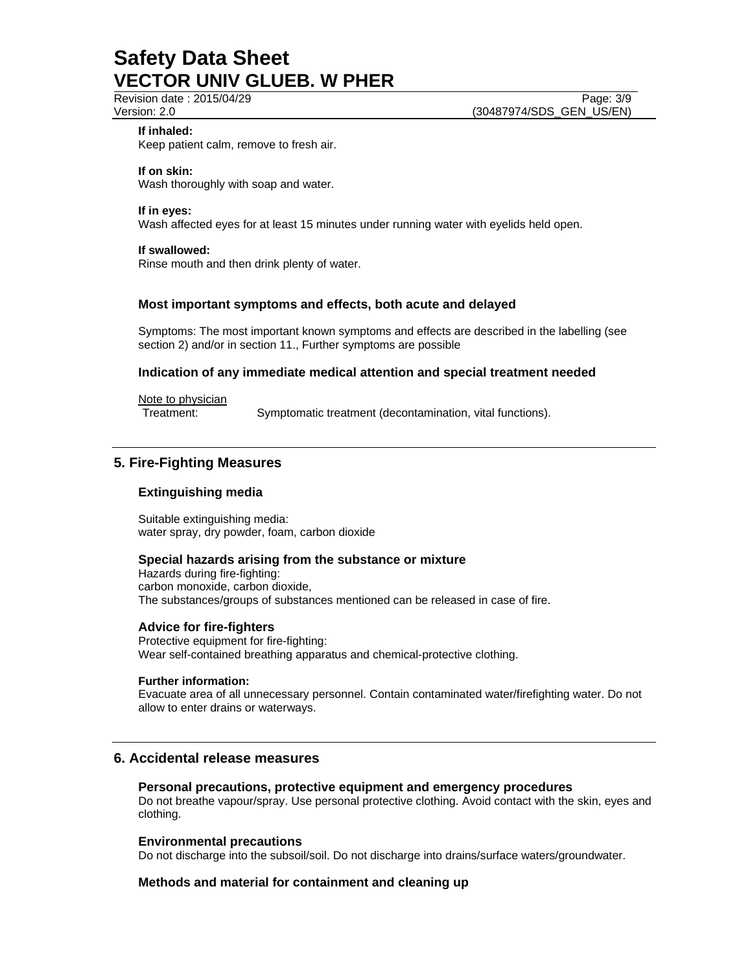Revision date : 2015/04/29 Page: 3/9

### **If inhaled:**

Keep patient calm, remove to fresh air.

### **If on skin:**

Wash thoroughly with soap and water.

### **If in eyes:**

Wash affected eyes for at least 15 minutes under running water with eyelids held open.

## **If swallowed:**

Rinse mouth and then drink plenty of water.

## **Most important symptoms and effects, both acute and delayed**

Symptoms: The most important known symptoms and effects are described in the labelling (see section 2) and/or in section 11., Further symptoms are possible

## **Indication of any immediate medical attention and special treatment needed**

Note to physician

Treatment: Symptomatic treatment (decontamination, vital functions).

## **5. Fire-Fighting Measures**

## **Extinguishing media**

Suitable extinguishing media: water spray, dry powder, foam, carbon dioxide

## **Special hazards arising from the substance or mixture**

Hazards during fire-fighting: carbon monoxide, carbon dioxide, The substances/groups of substances mentioned can be released in case of fire.

## **Advice for fire-fighters**

Protective equipment for fire-fighting: Wear self-contained breathing apparatus and chemical-protective clothing.

### **Further information:**

Evacuate area of all unnecessary personnel. Contain contaminated water/firefighting water. Do not allow to enter drains or waterways.

## **6. Accidental release measures**

#### **Personal precautions, protective equipment and emergency procedures**

Do not breathe vapour/spray. Use personal protective clothing. Avoid contact with the skin, eyes and clothing.

## **Environmental precautions**

Do not discharge into the subsoil/soil. Do not discharge into drains/surface waters/groundwater.

## **Methods and material for containment and cleaning up**

Version: 2.0 (30487974/SDS\_GEN\_US/EN)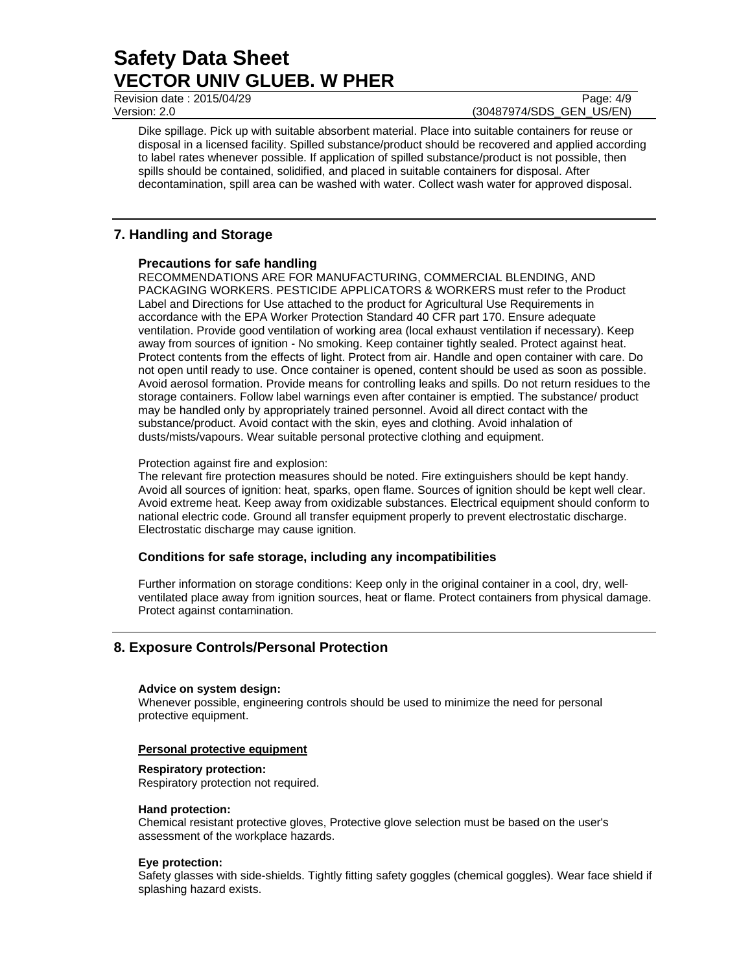Revision date : 2015/04/29 Page: 4/9

Version: 2.0 (30487974/SDS\_GEN\_US/EN)

Dike spillage. Pick up with suitable absorbent material. Place into suitable containers for reuse or disposal in a licensed facility. Spilled substance/product should be recovered and applied according to label rates whenever possible. If application of spilled substance/product is not possible, then spills should be contained, solidified, and placed in suitable containers for disposal. After decontamination, spill area can be washed with water. Collect wash water for approved disposal.

## **7. Handling and Storage**

## **Precautions for safe handling**

RECOMMENDATIONS ARE FOR MANUFACTURING, COMMERCIAL BLENDING, AND PACKAGING WORKERS. PESTICIDE APPLICATORS & WORKERS must refer to the Product Label and Directions for Use attached to the product for Agricultural Use Requirements in accordance with the EPA Worker Protection Standard 40 CFR part 170. Ensure adequate ventilation. Provide good ventilation of working area (local exhaust ventilation if necessary). Keep away from sources of ignition - No smoking. Keep container tightly sealed. Protect against heat. Protect contents from the effects of light. Protect from air. Handle and open container with care. Do not open until ready to use. Once container is opened, content should be used as soon as possible. Avoid aerosol formation. Provide means for controlling leaks and spills. Do not return residues to the storage containers. Follow label warnings even after container is emptied. The substance/ product may be handled only by appropriately trained personnel. Avoid all direct contact with the substance/product. Avoid contact with the skin, eyes and clothing. Avoid inhalation of dusts/mists/vapours. Wear suitable personal protective clothing and equipment.

## Protection against fire and explosion:

The relevant fire protection measures should be noted. Fire extinguishers should be kept handy. Avoid all sources of ignition: heat, sparks, open flame. Sources of ignition should be kept well clear. Avoid extreme heat. Keep away from oxidizable substances. Electrical equipment should conform to national electric code. Ground all transfer equipment properly to prevent electrostatic discharge. Electrostatic discharge may cause ignition.

## **Conditions for safe storage, including any incompatibilities**

Further information on storage conditions: Keep only in the original container in a cool, dry, wellventilated place away from ignition sources, heat or flame. Protect containers from physical damage. Protect against contamination.

## **8. Exposure Controls/Personal Protection**

## **Advice on system design:**

Whenever possible, engineering controls should be used to minimize the need for personal protective equipment.

## **Personal protective equipment**

## **Respiratory protection:**

Respiratory protection not required.

#### **Hand protection:**

Chemical resistant protective gloves, Protective glove selection must be based on the user's assessment of the workplace hazards.

## **Eye protection:**

Safety glasses with side-shields. Tightly fitting safety goggles (chemical goggles). Wear face shield if splashing hazard exists.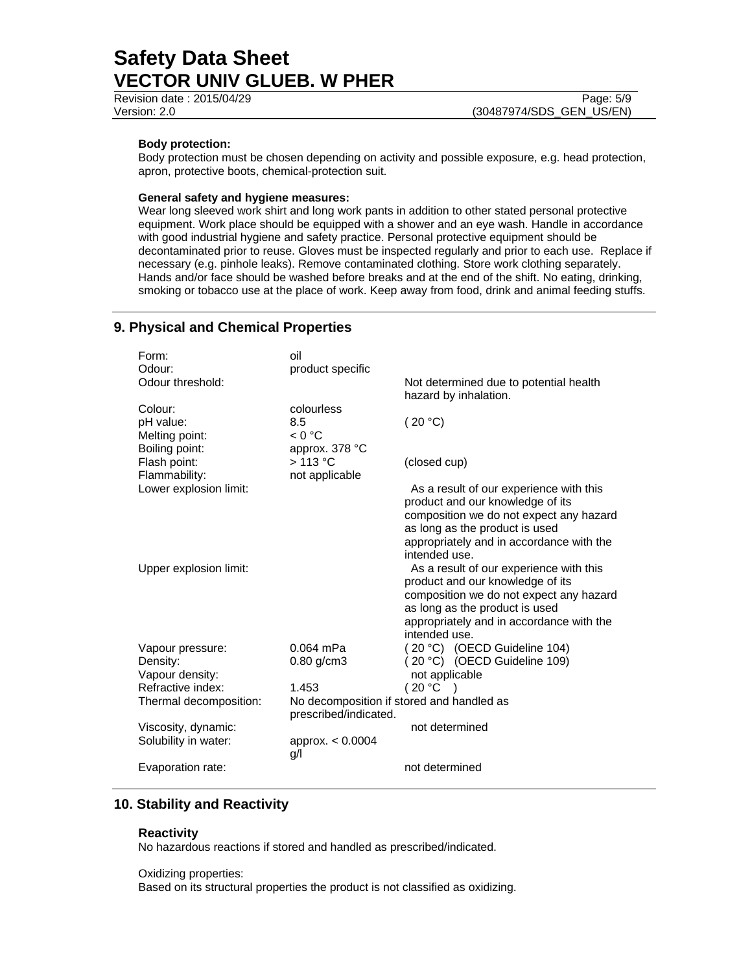Revision date : 2015/04/29 Page: 5/9 Version: 2.0 (30487974/SDS\_GEN\_US/EN)

#### **Body protection:**

Body protection must be chosen depending on activity and possible exposure, e.g. head protection, apron, protective boots, chemical-protection suit.

#### **General safety and hygiene measures:**

Wear long sleeved work shirt and long work pants in addition to other stated personal protective equipment. Work place should be equipped with a shower and an eye wash. Handle in accordance with good industrial hygiene and safety practice. Personal protective equipment should be decontaminated prior to reuse. Gloves must be inspected regularly and prior to each use. Replace if necessary (e.g. pinhole leaks). Remove contaminated clothing. Store work clothing separately. Hands and/or face should be washed before breaks and at the end of the shift. No eating, drinking, smoking or tobacco use at the place of work. Keep away from food, drink and animal feeding stuffs.

## **9. Physical and Chemical Properties**

| Form:                  | oil                   |                                                           |                                                                           |
|------------------------|-----------------------|-----------------------------------------------------------|---------------------------------------------------------------------------|
| Odour:                 | product specific      |                                                           |                                                                           |
| Odour threshold:       |                       |                                                           | Not determined due to potential health                                    |
|                        |                       |                                                           | hazard by inhalation.                                                     |
| Colour:                | colourless            |                                                           |                                                                           |
| pH value:              | 8.5                   | (20 °C)                                                   |                                                                           |
| Melting point:         | < 0 °C                |                                                           |                                                                           |
| Boiling point:         | approx. 378 °C        |                                                           |                                                                           |
| Flash point:           | $>113$ °C             | (closed cup)                                              |                                                                           |
| Flammability:          | not applicable        |                                                           |                                                                           |
| Lower explosion limit: |                       |                                                           | As a result of our experience with this                                   |
|                        |                       |                                                           | product and our knowledge of its                                          |
|                        |                       |                                                           | composition we do not expect any hazard                                   |
|                        |                       |                                                           | as long as the product is used                                            |
|                        |                       |                                                           | appropriately and in accordance with the                                  |
|                        |                       | intended use.                                             |                                                                           |
| Upper explosion limit: |                       |                                                           | As a result of our experience with this                                   |
|                        |                       |                                                           | product and our knowledge of its                                          |
|                        |                       |                                                           | composition we do not expect any hazard<br>as long as the product is used |
|                        |                       |                                                           |                                                                           |
|                        |                       | appropriately and in accordance with the<br>intended use. |                                                                           |
| Vapour pressure:       | $0.064$ mPa           |                                                           | (20 °C) (OECD Guideline 104)                                              |
| Density:               | $0.80$ g/cm3          |                                                           | (20 °C) (OECD Guideline 109)                                              |
| Vapour density:        |                       | not applicable                                            |                                                                           |
| Refractive index:      | 1.453                 | (20 °C)                                                   |                                                                           |
| Thermal decomposition: |                       | No decomposition if stored and handled as                 |                                                                           |
|                        | prescribed/indicated. |                                                           |                                                                           |
| Viscosity, dynamic:    |                       | not determined                                            |                                                                           |
| Solubility in water:   | approx. < 0.0004      |                                                           |                                                                           |
|                        | g/l                   |                                                           |                                                                           |
| Evaporation rate:      |                       | not determined                                            |                                                                           |

## **10. Stability and Reactivity**

#### **Reactivity**

No hazardous reactions if stored and handled as prescribed/indicated.

Oxidizing properties:

Based on its structural properties the product is not classified as oxidizing.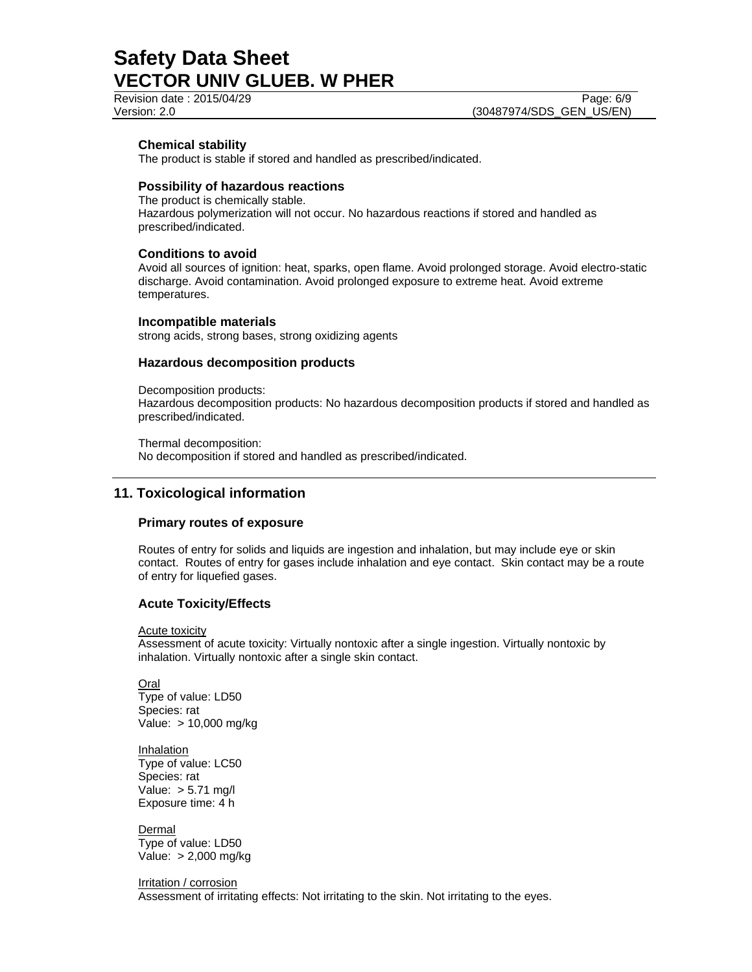### **Chemical stability**

The product is stable if stored and handled as prescribed/indicated.

## **Possibility of hazardous reactions**

The product is chemically stable. Hazardous polymerization will not occur. No hazardous reactions if stored and handled as prescribed/indicated.

#### **Conditions to avoid**

Avoid all sources of ignition: heat, sparks, open flame. Avoid prolonged storage. Avoid electro-static discharge. Avoid contamination. Avoid prolonged exposure to extreme heat. Avoid extreme temperatures.

#### **Incompatible materials**

strong acids, strong bases, strong oxidizing agents

### **Hazardous decomposition products**

Decomposition products:

Hazardous decomposition products: No hazardous decomposition products if stored and handled as prescribed/indicated.

Thermal decomposition: No decomposition if stored and handled as prescribed/indicated.

## **11. Toxicological information**

#### **Primary routes of exposure**

Routes of entry for solids and liquids are ingestion and inhalation, but may include eye or skin contact. Routes of entry for gases include inhalation and eye contact. Skin contact may be a route of entry for liquefied gases.

### **Acute Toxicity/Effects**

Acute toxicity

Assessment of acute toxicity: Virtually nontoxic after a single ingestion. Virtually nontoxic by inhalation. Virtually nontoxic after a single skin contact.

Oral Type of value: LD50 Species: rat Value: > 10,000 mg/kg

**Inhalation** Type of value: LC50 Species: rat Value: > 5.71 mg/l Exposure time: 4 h

**Dermal** Type of value: LD50 Value: > 2,000 mg/kg

Irritation / corrosion

Assessment of irritating effects: Not irritating to the skin. Not irritating to the eyes.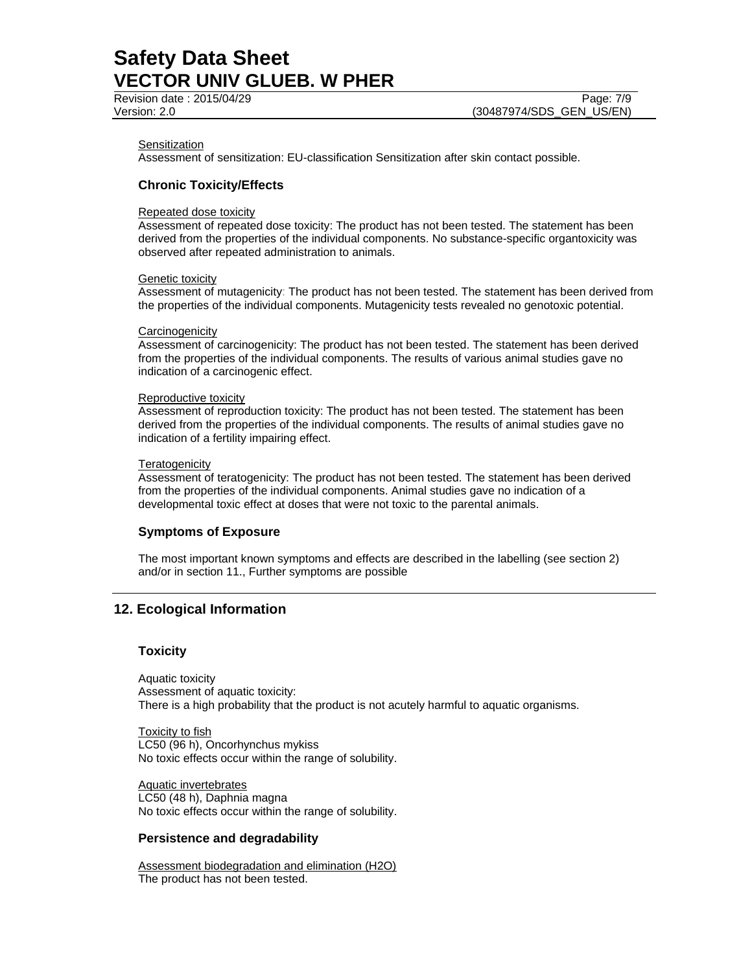#### **Sensitization**

Assessment of sensitization: EU-classification Sensitization after skin contact possible.

## **Chronic Toxicity/Effects**

#### Repeated dose toxicity

Assessment of repeated dose toxicity: The product has not been tested. The statement has been derived from the properties of the individual components. No substance-specific organtoxicity was observed after repeated administration to animals.

#### Genetic toxicity

Assessment of mutagenicity: The product has not been tested. The statement has been derived from the properties of the individual components. Mutagenicity tests revealed no genotoxic potential.

#### **Carcinogenicity**

Assessment of carcinogenicity: The product has not been tested. The statement has been derived from the properties of the individual components. The results of various animal studies gave no indication of a carcinogenic effect.

#### Reproductive toxicity

Assessment of reproduction toxicity: The product has not been tested. The statement has been derived from the properties of the individual components. The results of animal studies gave no indication of a fertility impairing effect.

#### **Teratogenicity**

Assessment of teratogenicity: The product has not been tested. The statement has been derived from the properties of the individual components. Animal studies gave no indication of a developmental toxic effect at doses that were not toxic to the parental animals.

#### **Symptoms of Exposure**

The most important known symptoms and effects are described in the labelling (see section 2) and/or in section 11., Further symptoms are possible

## **12. Ecological Information**

#### **Toxicity**

Aquatic toxicity Assessment of aquatic toxicity: There is a high probability that the product is not acutely harmful to aquatic organisms.

Toxicity to fish LC50 (96 h), Oncorhynchus mykiss No toxic effects occur within the range of solubility.

Aquatic invertebrates LC50 (48 h), Daphnia magna No toxic effects occur within the range of solubility.

### **Persistence and degradability**

Assessment biodegradation and elimination (H2O) The product has not been tested.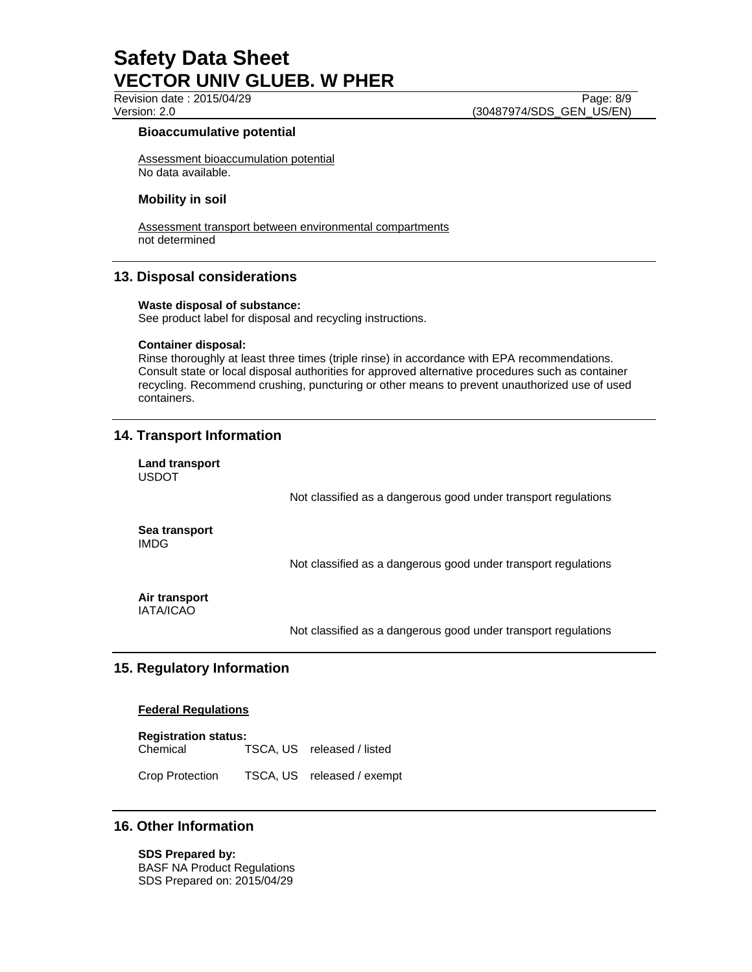Revision date : 2015/04/29 Page: 8/9

Version: 2.0 (30487974/SDS\_GEN\_US/EN)

### **Bioaccumulative potential**

Assessment bioaccumulation potential No data available.

## **Mobility in soil**

Assessment transport between environmental compartments not determined

## **13. Disposal considerations**

#### **Waste disposal of substance:**

See product label for disposal and recycling instructions.

#### **Container disposal:**

Rinse thoroughly at least three times (triple rinse) in accordance with EPA recommendations. Consult state or local disposal authorities for approved alternative procedures such as container recycling. Recommend crushing, puncturing or other means to prevent unauthorized use of used containers.

## **14. Transport Information**

**Land transport**  USDOT

Not classified as a dangerous good under transport regulations

**Sea transport**  IMDG

Not classified as a dangerous good under transport regulations

#### **Air transport**  IATA/ICAO

Not classified as a dangerous good under transport regulations

## **15. Regulatory Information**

#### **Federal Regulations**

**Registration status:**  Chemical TSCA, US released / listed

Crop Protection TSCA, US released / exempt

## **16. Other Information**

**SDS Prepared by:**  BASF NA Product Regulations SDS Prepared on: 2015/04/29